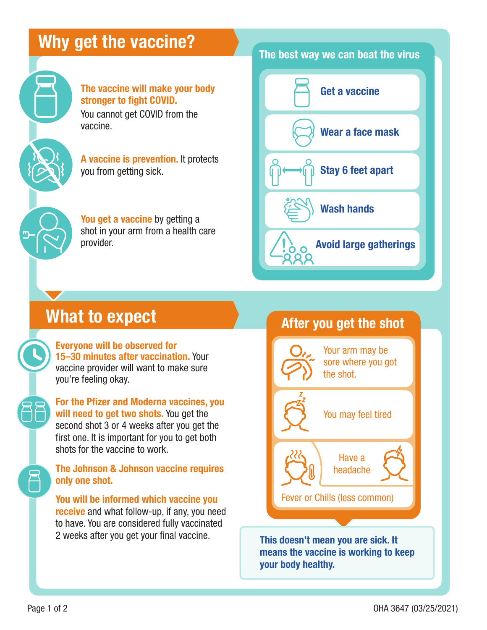### Why get the vaccine?



The vaccine will make your body stronger to fight COVID. You cannot get COVID from the vaccine.

A vaccine is prevention. It protects you from getting sick.

You get a vaccine by getting a shot in your arm from a health care provider.

#### The best way we can beat the virus



# What to expect

Everyone will be observed for 15–30 minutes after vaccination. Your vaccine provider will want to make sure you're feeling okay.

For the Pfizer and Moderna vaccines, you will need to get two shots. You get the second shot 3 or 4 weeks after you get the first one. It is important for you to get both shots for the vaccine to work.

The Johnson & Johnson vaccine requires only one shot.

You will be informed which vaccine you receive and what follow-up, if any, you need to have. You are considered fully vaccinated 2 weeks after you get your final vaccine.



This doesn't mean you are sick. It means the vaccine is working to keep your body healthy.